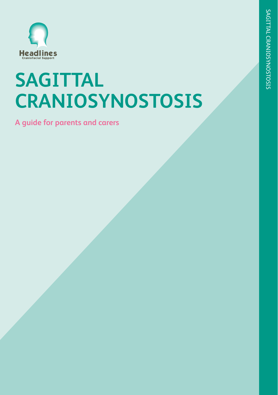

# **SAGITTAL CRANIOSYNOSTOSIS**

**A guide for parents and carers**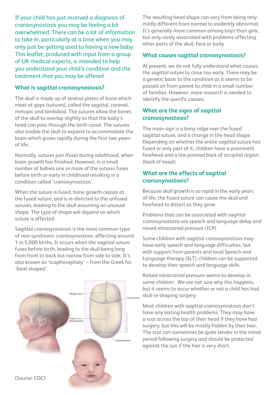If your child has just received a diagnosis of craniosynostosis you may be feeling a bit overwhelmed. There can be a lot of information to take in, particularly at a time when you may only just be getting used to having a new baby. This leaflet, produced with input from a group of UK medical experts, is intended to help you understand your child's condition and the treatment that you may be offered.

#### **What is sagittal craniosynostosis?**

The skull is made up of several plates of bone which meet at gaps (sutures), called the sagittal, coronal, metopic and lambdoid. The sutures allow the bones of the skull to overlap slightly so that the baby's head can pass through the birth canal. The sutures also enable the skull to expand to accommodate the brain which grows rapidly during the first two years of life.

Normally, sutures join (fuse) during adulthood, when brain growth has finished. However, in a small number of babies one or more of the sutures fuses before birth or early in childhood resulting in a condition called 'craniosynostosis'.

When the suture is fused, bone growth ceases at the fused suture, and is re-directed to the unfused sutures, leading to the skull assuming an unusual shape. The type of shape will depend on which suture is affected.

Sagittal craniosynostosis is the most common type of non-syndromic craniosynostosis, affecting around 1 in 5,000 births. It occurs when the sagittal suture fuses before birth, leading to the skull being long from front to back but narrow from side to side. It's also known as 'scaphocephaly' – from the Greek for 'boat-shaped'.



The resulting head shape can vary from being only mildly different from normal to evidently abnormal. It's generally more common among boys than girls, but only rarely associated with problems affecting other parts of the skull, face or body.

#### **What causes sagittal craniosynostosis?**

At present, we do not fully understand what causes the sagittal suture to close too early. There may be a genetic basis to the condition as it seems to be passed on from parent to child in a small number of families. However, more research is needed to identify the specific causes.

#### **What are the signs of sagittal craniosynostosis?**

The main sign is a bony ridge over the fused sagittal suture, and a change in the head shape. Depending on whether the entire sagittal suture has fused or only part of it, children have a prominent forehead and a low pointed back of occipital region (back of head).

#### **What are the effects of sagittal craniosynostosis?**

Because skull growth is so rapid in the early years of life, the fused suture can cause the skull and forehead to distort as they grow.

Problems that can be associated with sagittal craniosynostosis are speech and language delay and raised intracranial pressure (ICP).

Some children with sagittal craniosynostosis may have early speech and language difficulties, but with support from parents and local Speech and Language therapy (SLT), children can be supported to develop their speech and language skills.

Raised intracranial pressure seems to develop in some children . We are not sure why this happens, but it seems to occur whether or not a child has had skull re-shaping surgery.

Most children with sagittal craniosynostosis don't have any lasting health problems. They may have a scar across the top of their head if they have had surgery, but this will be mostly hidden by their hair. The scar can sometimes be quite tender in the initial period following surgery and should be protected against the sun if the hair is very short.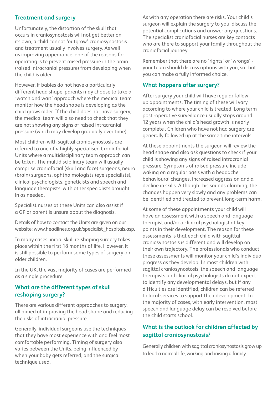#### **Treatment and surgery**

Unfortunately, the distortion of the skull that occurs in craniosynostosis will not get better on its own, a child cannot 'outgrow' craniosynostosis and treatment usually involves surgery. As well as improving appearance, one of the reasons for operating is to prevent raised pressure in the brain (raised intracranial pressure) from developing when the child is older.

However, if babies do not have a particularly different head shape, parents may choose to take a 'watch and wait' approach where the medical team monitor how the head shape is developing as the child grows older. If the child does not have surgery, the medical team will also need to check that they are not showing any signs of raised intracranial pressure (which may develop gradually over time).

Most children with sagittal craniosynostosis are referred to one of 4 highly specialised Craniofacial Units where a multidisciplinary team approach can be taken. The multidisciplinary team will usually comprise craniofacial (skull and face) surgeons, neuro (brain) surgeons, ophthalmologists (eye specialists), clinical psychologists, geneticists and speech and language therapists, with other specialists brought in as needed.

Specialist nurses at these Units can also assist if a GP or parent is unsure about the diagnosis.

Details of how to contact the Units are given on our website: www.headlines.org.uk/specialist\_hospitals.asp.

In many cases, initial skull re-shaping surgery takes place within the first 18 months of life. However, it is still possible to perform some types of surgery on older children.

In the UK, the vast majority of cases are performed as a single procedure.

#### **What are the different types of skull reshaping surgery?**

There are various different approaches to surgery, all aimed at improving the head shape and reducing the risks of intracranial pressure.

Generally, individual surgeons use the techniques that they have most experience with and feel most comfortable performing. Timing of surgery also varies between the Units, being influenced by when your baby gets referred, and the surgical technique used.

As with any operation there are risks. Your child's surgeon will explain the surgery to you, discuss the potential complications and answer any questions. The specialist craniofacial nurses are key contacts who are there to support your family throughout the craniofacial journey.

Remember that there are no 'rights' or 'wrongs' your team should discuss options with you, so that you can make a fully informed choice.

#### **What happens after surgery?**

After surgery your child will have regular follow up appointments. The timing of these will vary according to where your child is treated. Long term post -operative surveillance usually stops around 12 years when the child's head growth is nearly complete . Children who have not had surgery are generally followed up at the same time intervals.

At these appointments the surgeon will review the head shape and also ask questions to check if your child is showing any signs of raised intracranial pressure. Symptoms of raised pressure include waking on a regular basis with a headache, behavioural changes, increased aggression and a decline in skills. Although this sounds alarming, the changes happen very slowly and any problems can be identified and treated to prevent long-term harm.

At some of these appointments your child will have an assessment with a speech and language therapist and/or a clinical psychologist at key points in their development. The reason for these assessments is that each child with sagittal craniosynostosis is different and will develop on their own trajectory. The professionals who conduct these assessments will monitor your child's individual progress as they develop. In most children with sagittal craniosynostosis, the speech and language therapists and clinical psychologists do not expect to identify any developmental delays, but if any difficulties are identified, children can be referred to local services to support their development. In the majority of cases, with early intervention, most speech and language delay can be resolved before the child starts school.

#### **What is the outlook for children affected by sagittal craniosynostosis?**

Generally children with sagittal craniosynostosis grow up to lead a normal life, working and raising a family.